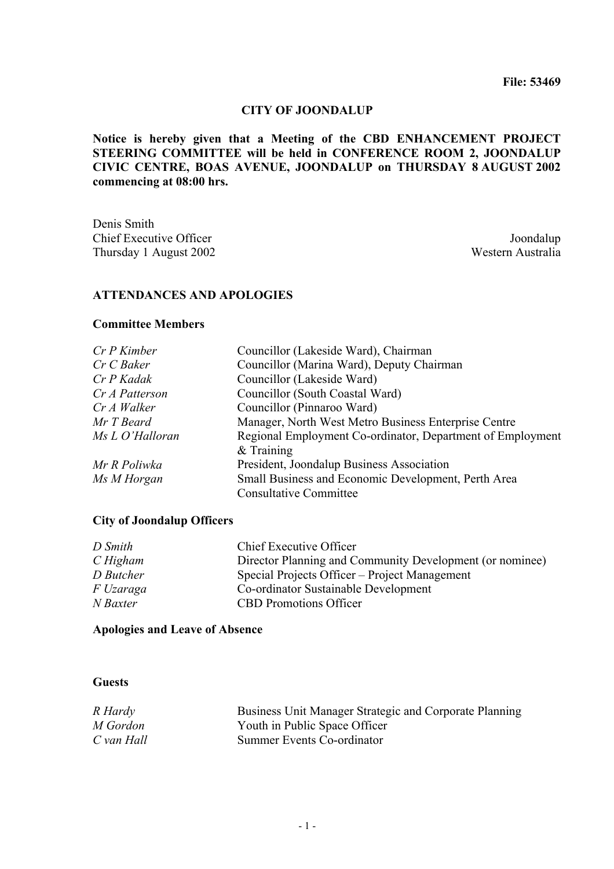#### **CITY OF JOONDALUP**

### **Notice is hereby given that a Meeting of the CBD ENHANCEMENT PROJECT STEERING COMMITTEE will be held in CONFERENCE ROOM 2, JOONDALUP CIVIC CENTRE, BOAS AVENUE, JOONDALUP on THURSDAY 8 AUGUST 2002 commencing at 08:00 hrs.**

Denis Smith **Chief Executive Officer** Joondalup Thursday 1 August 2002 Western Australia

# **ATTENDANCES AND APOLOGIES**

### **Committee Members**

| $Cr P$ Kimber   | Councillor (Lakeside Ward), Chairman                       |
|-----------------|------------------------------------------------------------|
| Cr C Baker      | Councillor (Marina Ward), Deputy Chairman                  |
| Cr P Kadak      | Councillor (Lakeside Ward)                                 |
| Cr A Patterson  | Councillor (South Coastal Ward)                            |
| Cr A Walker     | Councillor (Pinnaroo Ward)                                 |
| Mr T Beard      | Manager, North West Metro Business Enterprise Centre       |
| Ms L O'Halloran | Regional Employment Co-ordinator, Department of Employment |
|                 | $&$ Training                                               |
| Mr R Poliwka    | President, Joondalup Business Association                  |
| Ms M Horgan     | Small Business and Economic Development, Perth Area        |
|                 | <b>Consultative Committee</b>                              |

#### **City of Joondalup Officers**

| D Smith    | Chief Executive Officer                                  |
|------------|----------------------------------------------------------|
| $C$ Higham | Director Planning and Community Development (or nominee) |
| D Butcher  | Special Projects Officer – Project Management            |
| F Uzaraga  | Co-ordinator Sustainable Development                     |
| N Baxter   | <b>CBD</b> Promotions Officer                            |

#### **Apologies and Leave of Absence**

#### **Guests**

| R Hardy    | Business Unit Manager Strategic and Corporate Planning |
|------------|--------------------------------------------------------|
| M Gordon   | Youth in Public Space Officer                          |
| C van Hall | Summer Events Co-ordinator                             |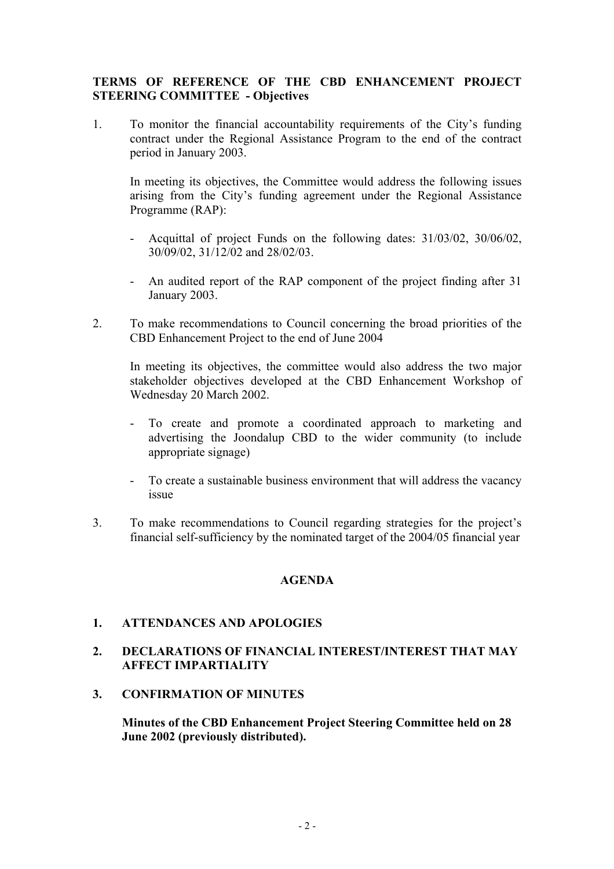## **TERMS OF REFERENCE OF THE CBD ENHANCEMENT PROJECT STEERING COMMITTEE - Objectives**

1. To monitor the financial accountability requirements of the City's funding contract under the Regional Assistance Program to the end of the contract period in January 2003.

In meeting its objectives, the Committee would address the following issues arising from the City's funding agreement under the Regional Assistance Programme (RAP):

- Acquittal of project Funds on the following dates: 31/03/02, 30/06/02, 30/09/02, 31/12/02 and 28/02/03.
- An audited report of the RAP component of the project finding after 31 January 2003.
- 2. To make recommendations to Council concerning the broad priorities of the CBD Enhancement Project to the end of June 2004

 In meeting its objectives, the committee would also address the two major stakeholder objectives developed at the CBD Enhancement Workshop of Wednesday 20 March 2002.

- To create and promote a coordinated approach to marketing and advertising the Joondalup CBD to the wider community (to include appropriate signage)
- To create a sustainable business environment that will address the vacancy issue
- 3. To make recommendations to Council regarding strategies for the project's financial self-sufficiency by the nominated target of the 2004/05 financial year

#### **AGENDA**

## **1. ATTENDANCES AND APOLOGIES**

## **2. DECLARATIONS OF FINANCIAL INTEREST/INTEREST THAT MAY AFFECT IMPARTIALITY**

## **3. CONFIRMATION OF MINUTES**

**Minutes of the CBD Enhancement Project Steering Committee held on 28 June 2002 (previously distributed).**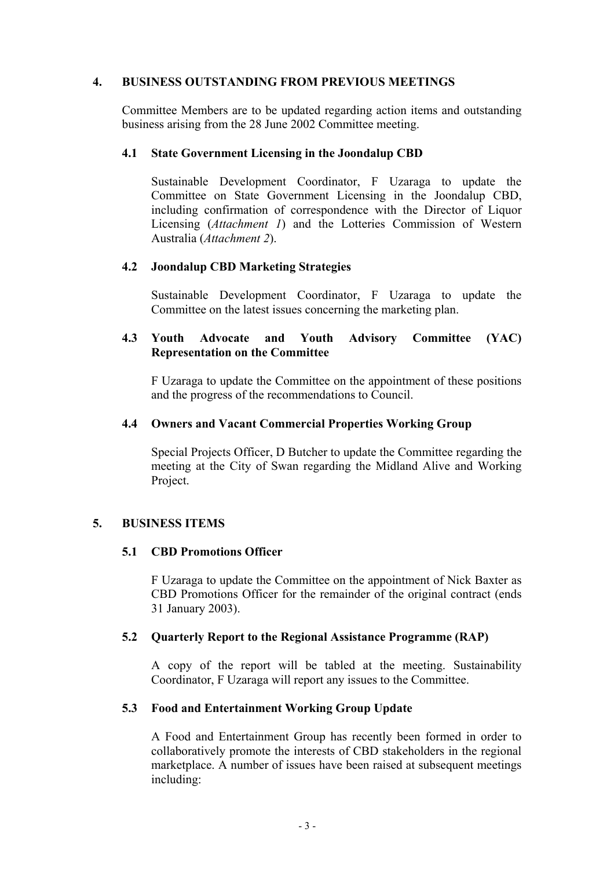### **4. BUSINESS OUTSTANDING FROM PREVIOUS MEETINGS**

 Committee Members are to be updated regarding action items and outstanding business arising from the 28 June 2002 Committee meeting.

### **4.1 State Government Licensing in the Joondalup CBD**

Sustainable Development Coordinator, F Uzaraga to update the Committee on State Government Licensing in the Joondalup CBD, including confirmation of correspondence with the Director of Liquor Licensing (*Attachment 1*) and the Lotteries Commission of Western Australia (*Attachment 2*).

### **4.2 Joondalup CBD Marketing Strategies**

Sustainable Development Coordinator, F Uzaraga to update the Committee on the latest issues concerning the marketing plan.

## **4.3 Youth Advocate and Youth Advisory Committee (YAC) Representation on the Committee**

F Uzaraga to update the Committee on the appointment of these positions and the progress of the recommendations to Council.

#### **4.4 Owners and Vacant Commercial Properties Working Group**

Special Projects Officer, D Butcher to update the Committee regarding the meeting at the City of Swan regarding the Midland Alive and Working Project.

## **5. BUSINESS ITEMS**

#### **5.1 CBD Promotions Officer**

F Uzaraga to update the Committee on the appointment of Nick Baxter as CBD Promotions Officer for the remainder of the original contract (ends 31 January 2003).

### **5.2 Quarterly Report to the Regional Assistance Programme (RAP)**

A copy of the report will be tabled at the meeting. Sustainability Coordinator, F Uzaraga will report any issues to the Committee.

### **5.3 Food and Entertainment Working Group Update**

A Food and Entertainment Group has recently been formed in order to collaboratively promote the interests of CBD stakeholders in the regional marketplace. A number of issues have been raised at subsequent meetings including: